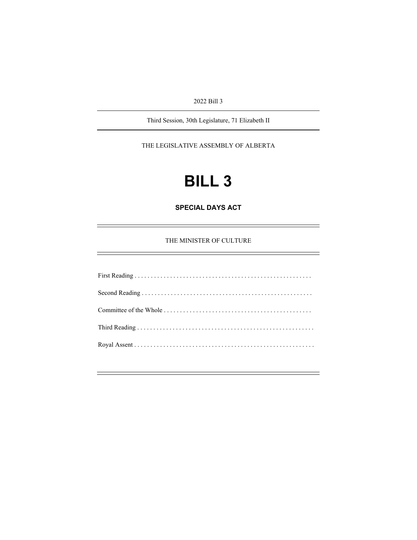2022 Bill 3

Third Session, 30th Legislature, 71 Elizabeth II

THE LEGISLATIVE ASSEMBLY OF ALBERTA

# **BILL 3**

**SPECIAL DAYS ACT**

THE MINISTER OF CULTURE

First Reading . . . . . . . . . . . . . . . . . . . . . . . . . . . . . . . . . . . . . . . . . . . . . . . . . . . . . . . Second Reading . . . . . . . . . . . . . . . . . . . . . . . . . . . . . . . . . . . . . . . . . . . . . . . . . . . . . Committee of the Whole . . . . . . . . . . . . . . . . . . . . . . . . . . . . . . . . . . . . . . . . . . . . . . Third Reading . . . . . . . . . . . . . . . . . . . . . . . . . . . . . . . . . . . . . . . . . . . . . . . . . . . . . . . Royal Assent . . . . . . . . . . . . . . . . . . . . . . . . . . . . . . . . . . . . . . . . . . . . . . . . . . . . . . . .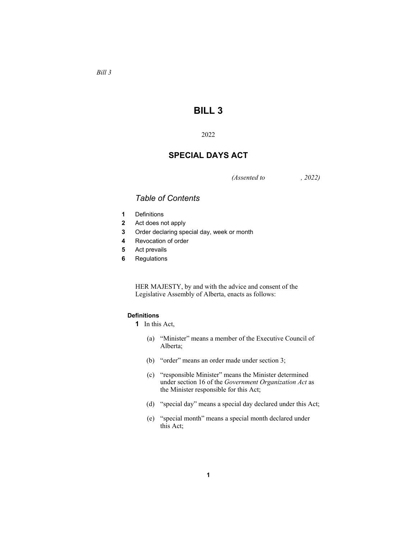# *Bill 3*

## **BILL 3**

#### 2022

# **SPECIAL DAYS ACT**

*(Assented to , 2022)* 

### *Table of Contents*

- **1** Definitions
- **2** Act does not apply
- **3** Order declaring special day, week or month
- **4** Revocation of order
- **5** Act prevails
- **6** Regulations

HER MAJESTY, by and with the advice and consent of the Legislative Assembly of Alberta, enacts as follows:

#### **Definitions**

- **1** In this Act,
	- (a) "Minister" means a member of the Executive Council of Alberta;
	- (b) "order" means an order made under section 3;
	- (c) "responsible Minister" means the Minister determined under section 16 of the *Government Organization Act* as the Minister responsible for this Act;
	- (d) "special day" means a special day declared under this Act;
	- (e) "special month" means a special month declared under this Act;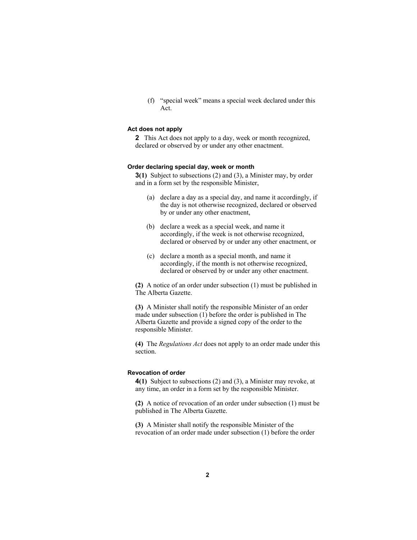(f) "special week" means a special week declared under this Act.

#### **Act does not apply**

**2** This Act does not apply to a day, week or month recognized, declared or observed by or under any other enactment.

#### **Order declaring special day, week or month**

**3(1)** Subject to subsections (2) and (3), a Minister may, by order and in a form set by the responsible Minister,

- (a) declare a day as a special day, and name it accordingly, if the day is not otherwise recognized, declared or observed by or under any other enactment,
- (b) declare a week as a special week, and name it accordingly, if the week is not otherwise recognized, declared or observed by or under any other enactment, or
- (c) declare a month as a special month, and name it accordingly, if the month is not otherwise recognized, declared or observed by or under any other enactment.

**(2)** A notice of an order under subsection (1) must be published in The Alberta Gazette.

**(3)** A Minister shall notify the responsible Minister of an order made under subsection (1) before the order is published in The Alberta Gazette and provide a signed copy of the order to the responsible Minister.

**(4)** The *Regulations Act* does not apply to an order made under this section.

#### **Revocation of order**

**4(1)** Subject to subsections (2) and (3), a Minister may revoke, at any time, an order in a form set by the responsible Minister.

**(2)** A notice of revocation of an order under subsection (1) must be published in The Alberta Gazette.

**(3)** A Minister shall notify the responsible Minister of the revocation of an order made under subsection (1) before the order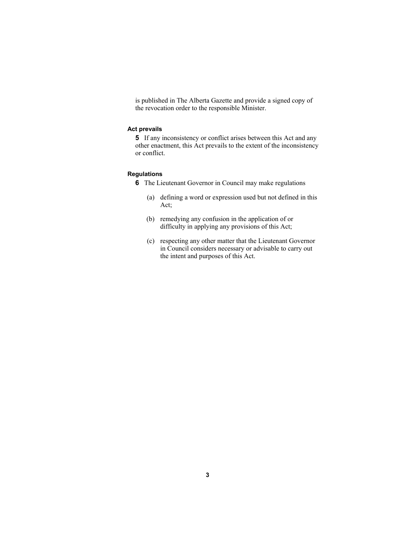is published in The Alberta Gazette and provide a signed copy of the revocation order to the responsible Minister.

#### **Act prevails**

**5** If any inconsistency or conflict arises between this Act and any other enactment, this Act prevails to the extent of the inconsistency or conflict.

#### **Regulations**

**6** The Lieutenant Governor in Council may make regulations

- (a) defining a word or expression used but not defined in this Act;
- (b) remedying any confusion in the application of or difficulty in applying any provisions of this Act;
- (c) respecting any other matter that the Lieutenant Governor in Council considers necessary or advisable to carry out the intent and purposes of this Act.